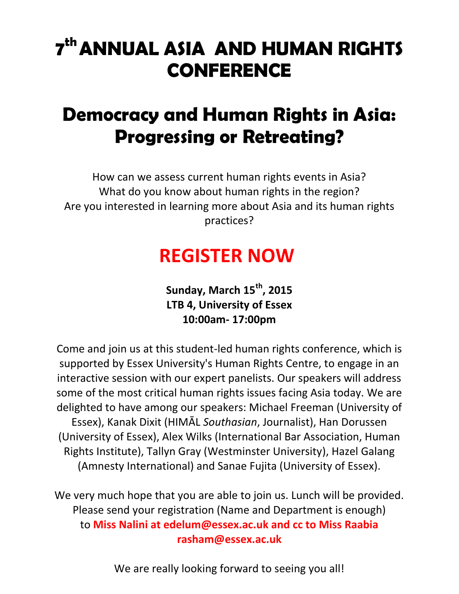# **7 thANNUAL ASIA AND HUMAN RIGHTS CONFERENCE**

## **Democracy and Human Rights in Asia: Progressing or Retreating?**

How can we assess current human rights events in Asia? What do you know about human rights in the region? Are you interested in learning more about Asia and its human rights practices?

## **REGISTER NOW**

**Sunday, March 15th, 2015 LTB 4, University of Essex 10:00am- 17:00pm**

Come and join us at this student-led human rights conference, which is supported by Essex University's Human Rights Centre, to engage in an interactive session with our expert panelists. Our speakers will address some of the most critical human rights issues facing Asia today. We are delighted to have among our speakers: Michael Freeman (University of Essex), Kanak Dixit (HIMĀL *Southasian*, Journalist), Han Dorussen (University of Essex), Alex Wilks (International Bar Association, Human Rights Institute), Tallyn Gray (Westminster University), Hazel Galang (Amnesty International) and Sanae Fujita (University of Essex).

We very much hope that you are able to join us. Lunch will be provided. Please send your registration (Name and Department is enough) to **Miss Nalini at edelum@essex.ac.uk and cc to Miss Raabia rasham@essex.ac.uk**

We are really looking forward to seeing you all!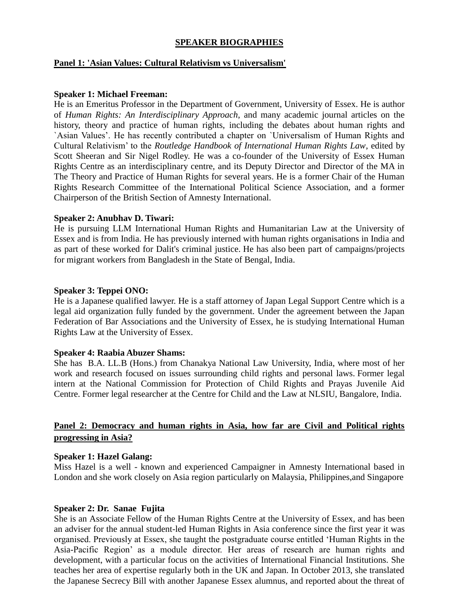### **SPEAKER BIOGRAPHIES**

#### **Panel 1: 'Asian Values: Cultural Relativism vs Universalism'**

#### **Speaker 1: Michael Freeman:**

He is an Emeritus Professor in the Department of Government, University of Essex. He is author of *Human Rights: An Interdisciplinary Approach*, and many academic journal articles on the history, theory and practice of human rights, including the debates about human rights and `Asian Values'. He has recently contributed a chapter on `Universalism of Human Rights and Cultural Relativism' to the *Routledge Handbook of International Human Rights Law*, edited by Scott Sheeran and Sir Nigel Rodley. He was a co-founder of the University of Essex Human Rights Centre as an interdisciplinary centre, and its Deputy Director and Director of the MA in The Theory and Practice of Human Rights for several years. He is a former Chair of the Human Rights Research Committee of the International Political Science Association, and a former Chairperson of the British Section of Amnesty International.

#### **Speaker 2: Anubhav D. Tiwari:**

He is pursuing LLM International Human Rights and Humanitarian Law at the University of Essex and is from India. He has previously interned with human rights organisations in India and as part of these worked for Dalit's criminal justice. He has also been part of campaigns/projects for migrant workers from Bangladesh in the State of Bengal, India.

#### **Speaker 3: Teppei ONO:**

He is a Japanese qualified lawyer. He is a staff attorney of Japan Legal Support Centre which is a legal aid organization fully funded by the government. Under the agreement between the Japan Federation of Bar Associations and the University of Essex, he is studying International Human Rights Law at the University of Essex.

#### **Speaker 4: Raabia Abuzer Shams:**

She has B.A. LL.B (Hons.) from Chanakya National Law University, India, where most of her work and research focused on issues surrounding child rights and personal laws. Former legal intern at the National Commission for Protection of Child Rights and Prayas Juvenile Aid Centre. Former legal researcher at the Centre for Child and the Law at NLSIU, Bangalore, India.

## **Panel 2: Democracy and human rights in Asia, how far are Civil and Political rights progressing in Asia?**

#### **Speaker 1: Hazel Galang:**

Miss Hazel is a well - known and experienced Campaigner in Amnesty International based in London and she work closely on Asia region particularly on Malaysia, Philippines,and Singapore

#### **Speaker 2: Dr. Sanae Fujita**

She is an Associate Fellow of the Human Rights Centre at the University of Essex, and has been an adviser for the annual student-led Human Rights in Asia conference since the first year it was organised. Previously at Essex, she taught the postgraduate course entitled 'Human Rights in the Asia-Pacific Region' as a module director. Her areas of research are human rights and development, with a particular focus on the activities of International Financial Institutions. She teaches her area of expertise regularly both in the UK and Japan. In October 2013, she translated the Japanese Secrecy Bill with another Japanese Essex alumnus, and reported about the threat of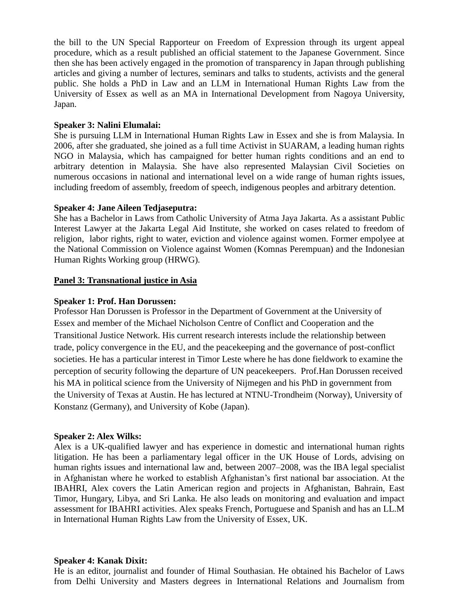the bill to the UN Special Rapporteur on Freedom of Expression through its urgent appeal procedure, which as a result published an official statement to the Japanese Government. Since then she has been actively engaged in the promotion of transparency in Japan through publishing articles and giving a number of lectures, seminars and talks to students, activists and the general public. She holds a PhD in Law and an LLM in International Human Rights Law from the University of Essex as well as an MA in International Development from Nagoya University, Japan.

#### **Speaker 3: Nalini Elumalai:**

She is pursuing LLM in International Human Rights Law in Essex and she is from Malaysia. In 2006, after she graduated, she joined as a full time Activist in SUARAM, a leading human rights NGO in Malaysia, which has campaigned for better human rights conditions and an end to arbitrary detention in Malaysia. She have also represented Malaysian Civil Societies on numerous occasions in national and international level on a wide range of human rights issues, including freedom of assembly, freedom of speech, indigenous peoples and arbitrary detention.

### **Speaker 4: Jane Aileen Tedjaseputra:**

She has a Bachelor in Laws from Catholic University of Atma Jaya Jakarta. As a assistant Public Interest Lawyer at the Jakarta Legal Aid Institute, she worked on cases related to freedom of religion, labor rights, right to water, eviction and violence against women. Former empolyee at the National Commission on Violence against Women (Komnas Perempuan) and the Indonesian Human Rights Working group (HRWG).

### **Panel 3: Transnational justice in Asia**

#### **Speaker 1: Prof. Han Dorussen:**

Professor Han Dorussen is Professor in the Department of Government at the University of Essex and member of the Michael Nicholson Centre of Conflict and Cooperation and the Transitional Justice Network. His current research interests include the relationship between trade, policy convergence in the EU, and the peacekeeping and the governance of post-conflict societies. He has a particular interest in Timor Leste where he has done fieldwork to examine the perception of security following the departure of UN peacekeepers. Prof.Han Dorussen received his MA in political science from the University of Nijmegen and his PhD in government from the University of Texas at Austin. He has lectured at NTNU-Trondheim (Norway), University of Konstanz (Germany), and University of Kobe (Japan).

#### **Speaker 2: Alex Wilks:**

Alex is a UK-qualified lawyer and has experience in domestic and international human rights litigation. He has been a parliamentary legal officer in the UK House of Lords, advising on human rights issues and international law and, between 2007–2008, was the IBA legal specialist in Afghanistan where he worked to establish Afghanistan's first national bar association. At the IBAHRI, Alex covers the Latin American region and projects in Afghanistan, Bahrain, East Timor, Hungary, Libya, and Sri Lanka. He also leads on monitoring and evaluation and impact assessment for IBAHRI activities. Alex speaks French, Portuguese and Spanish and has an LL.M in International Human Rights Law from the University of Essex, UK.

#### **Speaker 4: Kanak Dixit:**

He is an editor, journalist and founder of Himal Southasian. He obtained his Bachelor of Laws from Delhi University and Masters degrees in International Relations and Journalism from